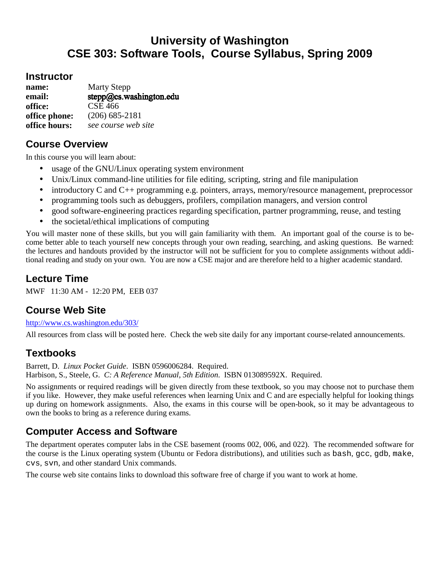# **University of Washington CSE 303: Software Tools, Course Syllabus, Spring 2009**

#### **Instructor**

| name:         | <b>Marty Stepp</b>      |
|---------------|-------------------------|
| email:        | stepp@cs.washington.edu |
| office:       | <b>CSE 466</b>          |
| office phone: | $(206)$ 685-2181        |
| office hours: | see course web site     |

## **Course Overview**

In this course you will learn about:

- usage of the GNU/Linux operating system environment
- Unix/Linux command-line utilities for file editing, scripting, string and file manipulation
- introductory C and C++ programming e.g. pointers, arrays, memory/resource management, preprocessor
- programming tools such as debuggers, profilers, compilation managers, and version control
- good software-engineering practices regarding specification, partner programming, reuse, and testing
- the societal/ethical implications of computing

You will master none of these skills, but you will gain familiarity with them. An important goal of the course is to become better able to teach yourself new concepts through your own reading, searching, and asking questions. Be warned: the lectures and handouts provided by the instructor will not be sufficient for you to complete assignments without additional reading and study on your own. You are now a CSE major and are therefore held to a higher academic standard.

## **Lecture Time**

MWF 11:30 AM - 12:20 PM, EEB 037

#### **Course Web Site**

http://www.cs.washington.edu/303/

All resources from class will be posted here. Check the web site daily for any important course-related announcements.

## **Textbooks**

Barrett, D. *Linux Pocket Guide*. ISBN 0596006284. Required. Harbison, S., Steele, G. *C: A Reference Manual, 5th Edition*. ISBN 013089592X. Required.

No assignments or required readings will be given directly from these textbook, so you may choose not to purchase them if you like. However, they make useful references when learning Unix and C and are especially helpful for looking things up during on homework assignments. Also, the exams in this course will be open-book, so it may be advantageous to own the books to bring as a reference during exams.

## **Computer Access and Software**

The department operates computer labs in the CSE basement (rooms 002, 006, and 022). The recommended software for the course is the Linux operating system (Ubuntu or Fedora distributions), and utilities such as bash, gcc, gdb, make, cvs, svn, and other standard Unix commands.

The course web site contains links to download this software free of charge if you want to work at home.